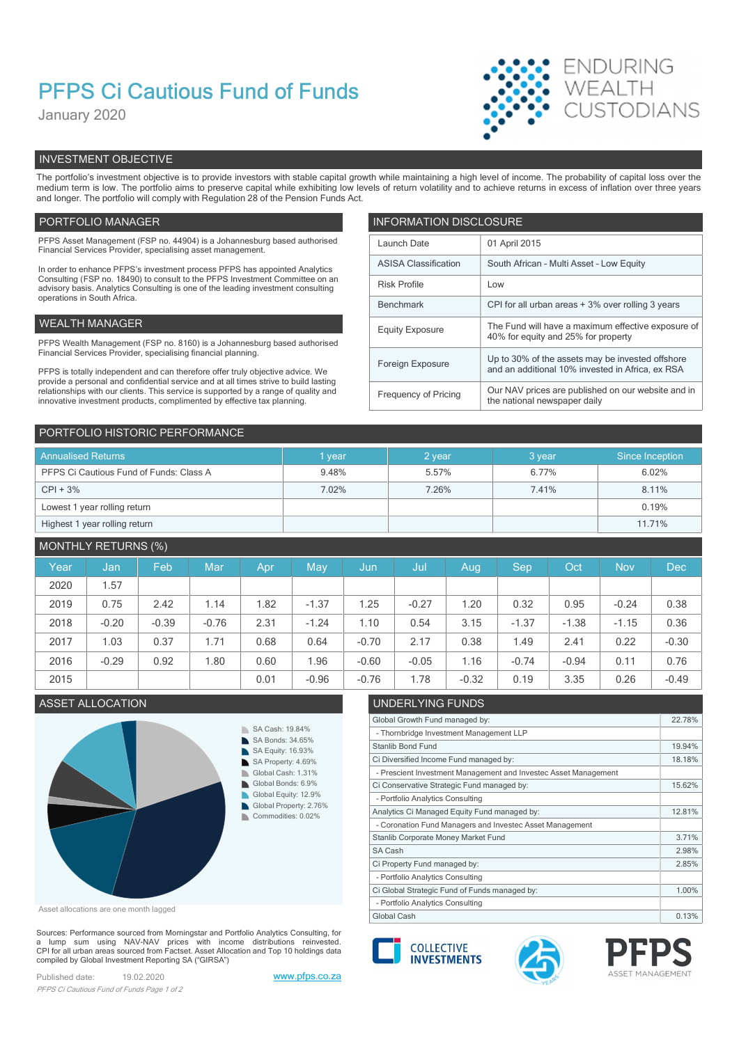# PFPS Ci Cautious Fund of Funds

January 2020



# INVESTMENT OBJECTIVE

The portfolio's investment objective is to provide investors with stable capital growth while maintaining a high level of income. The probability of capital loss over the medium term is low. The portfolio aims to preserve capital while exhibiting low levels of return volatility and to achieve returns in excess of inflation over three years and longer. The portfolio will comply with Regulation 28 of the Pension Funds Act.

## PORTFOLIO MANAGER **INFORMATION DISCLOSURE**

| PFPS Asset Management (FSP no. 44904) is a Johannesburg based authorised<br>Financial Services Provider, specialising asset management.                                | Launch Date                 | 01 April 2015                                                                             |
|------------------------------------------------------------------------------------------------------------------------------------------------------------------------|-----------------------------|-------------------------------------------------------------------------------------------|
| In order to enhance PFPS's investment process PFPS has appointed Analytics                                                                                             | <b>ASISA Classification</b> | South African - Multi Asset - Low Equity                                                  |
| Consulting (FSP no. 18490) to consult to the PFPS Investment Committee on an<br>advisory basis. Analytics Consulting is one of the leading investment consulting       | <b>Risk Profile</b>         | Low                                                                                       |
| operations in South Africa.                                                                                                                                            | Benchmark                   | CPI for all urban areas + 3% over rolling 3 years                                         |
| WEALTH MANAGER                                                                                                                                                         | <b>Equity Exposure</b>      | The Fund will have a maximum effective exposure of<br>40% for equity and 25% for property |
| PFPS Wealth Management (FSP no. 8160) is a Johannesburg based authorised                                                                                               |                             |                                                                                           |
| Financial Services Provider, specialising financial planning.                                                                                                          | Foreign Exposure            | Up to 30% of the assets may be invested offshore                                          |
| PFPS is totally independent and can therefore offer truly objective advice. We<br>provide a personal and confidential service and at all times strive to build lasting |                             | and an additional 10% invested in Africa, ex RSA                                          |
| relationships with our clients. This service is supported by a range of quality and<br>innovative investment products, complimented by effective tax planning.         | Frequency of Pricing        | Our NAV prices are published on our website and in<br>the national newspaper daily        |
|                                                                                                                                                                        |                             |                                                                                           |

| PORTFOLIO HISTORIC PERFORMANCE          |        |        |         |                 |
|-----------------------------------------|--------|--------|---------|-----------------|
| <b>Annualised Returns</b>               | 1 year | 2 year | 3 year. | Since Inception |
| PFPS Ci Cautious Fund of Funds: Class A | 9.48%  | 5.57%  | 6.77%   | 6.02%           |
| $CPI + 3%$                              | 7.02%  | 7.26%  | 7.41%   | 8.11%           |
| Lowest 1 year rolling return            |        |        |         | 0.19%           |
| Highest 1 year rolling return           |        |        |         | 11.71%          |

# MONTHLY RETURNS (%)

| Year | Jan     | Feb     | Mar     | Apr  | May     | Jun,    | Jul     | Aug     | <b>Sep</b> | Oct <sup>1</sup> | <b>Nov</b> | Dec     |
|------|---------|---------|---------|------|---------|---------|---------|---------|------------|------------------|------------|---------|
| 2020 | .57     |         |         |      |         |         |         |         |            |                  |            |         |
| 2019 | 0.75    | 2.42    | 1.14    | .82  | $-1.37$ | 1.25    | $-0.27$ | .20     | 0.32       | 0.95             | $-0.24$    | 0.38    |
| 2018 | $-0.20$ | $-0.39$ | $-0.76$ | 2.31 | $-1.24$ | 1.10    | 0.54    | 3.15    | $-1.37$    | $-1.38$          | $-1.15$    | 0.36    |
| 2017 | 1.03    | 0.37    | 1.71    | 0.68 | 0.64    | $-0.70$ | 2.17    | 0.38    | 1.49       | 2.41             | 0.22       | $-0.30$ |
| 2016 | $-0.29$ | 0.92    | 1.80    | 0.60 | .96     | $-0.60$ | $-0.05$ | 1.16    | $-0.74$    | $-0.94$          | 0.11       | 0.76    |
| 2015 |         |         |         | 0.01 | $-0.96$ | $-0.76$ | .78     | $-0.32$ | 0.19       | 3.35             | 0.26       | $-0.49$ |
|      |         |         |         |      |         |         |         |         |            |                  |            |         |



Asset allocations are one month lagged

Sources: Performance sourced from Morningstar and Portfolio Analytics Consulting, for a lump sum using NAV-NAV prices with income distributions reinvested.<br>CPI for all urban areas sourced from Factset. Asset Allocation and Top 10 holdings data compiled by Global Investment Reporting SA ("GIRSA")

Published date: 19.02.2020 www.pfps.co.za PFPS Ci Cautious Fund of Funds Page 1 of 2

# ASSET ALLOCATION UNDERLYING FUNDS

| Global Growth Fund managed by:                                  | 22.78% |
|-----------------------------------------------------------------|--------|
| - Thornbridge Investment Management LLP                         |        |
| Stanlib Bond Fund                                               | 19.94% |
| Ci Diversified Income Fund managed by:                          | 18.18% |
| - Prescient Investment Management and Investec Asset Management |        |
| Ci Conservative Strategic Fund managed by:                      | 15.62% |
| - Portfolio Analytics Consulting                                |        |
| Analytics Ci Managed Equity Fund managed by:                    | 12.81% |
| - Coronation Fund Managers and Investec Asset Management        |        |
| Stanlib Corporate Money Market Fund                             | 3.71%  |
| SA Cash                                                         | 2.98%  |
| Ci Property Fund managed by:                                    | 2.85%  |
| - Portfolio Analytics Consulting                                |        |
| Ci Global Strategic Fund of Funds managed by:                   | 1.00%  |
| - Portfolio Analytics Consulting                                |        |
| Global Cash                                                     | 0.13%  |